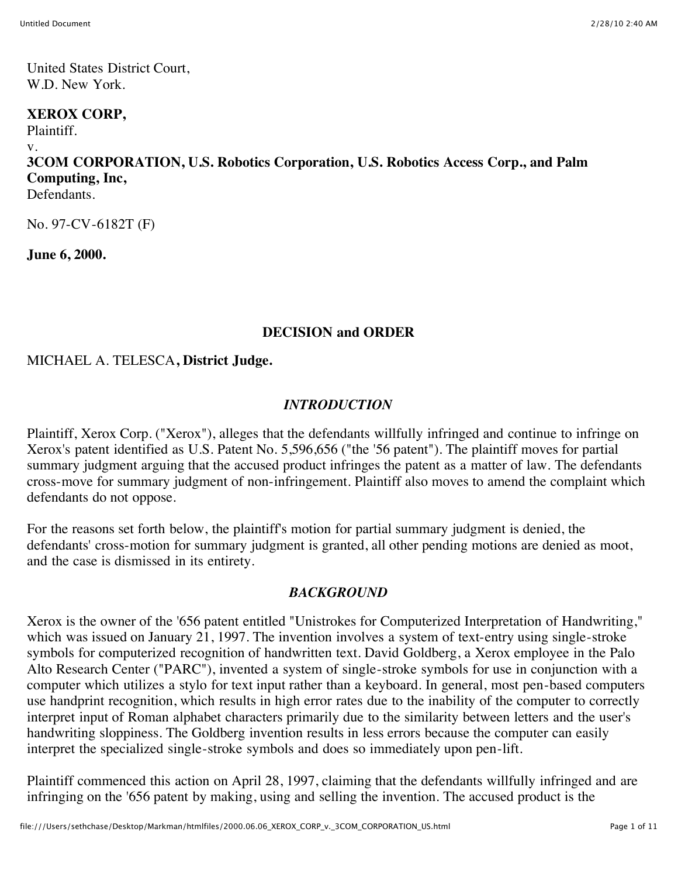United States District Court, W.D. New York.

#### **XEROX CORP,**

Plaintiff.

v.

# **3COM CORPORATION, U.S. Robotics Corporation, U.S. Robotics Access Corp., and Palm Computing, Inc,**

Defendants.

No. 97-CV-6182T (F)

**June 6, 2000.**

# **DECISION and ORDER**

# MICHAEL A. TELESCA**, District Judge.**

#### *INTRODUCTION*

Plaintiff, Xerox Corp. ("Xerox"), alleges that the defendants willfully infringed and continue to infringe on Xerox's patent identified as U.S. Patent No. 5,596,656 ("the '56 patent"). The plaintiff moves for partial summary judgment arguing that the accused product infringes the patent as a matter of law. The defendants cross-move for summary judgment of non-infringement. Plaintiff also moves to amend the complaint which defendants do not oppose.

For the reasons set forth below, the plaintiff's motion for partial summary judgment is denied, the defendants' cross-motion for summary judgment is granted, all other pending motions are denied as moot, and the case is dismissed in its entirety.

# *BACKGROUND*

Xerox is the owner of the '656 patent entitled "Unistrokes for Computerized Interpretation of Handwriting," which was issued on January 21, 1997. The invention involves a system of text-entry using single-stroke symbols for computerized recognition of handwritten text. David Goldberg, a Xerox employee in the Palo Alto Research Center ("PARC"), invented a system of single-stroke symbols for use in conjunction with a computer which utilizes a stylo for text input rather than a keyboard. In general, most pen-based computers use handprint recognition, which results in high error rates due to the inability of the computer to correctly interpret input of Roman alphabet characters primarily due to the similarity between letters and the user's handwriting sloppiness. The Goldberg invention results in less errors because the computer can easily interpret the specialized single-stroke symbols and does so immediately upon pen-lift.

Plaintiff commenced this action on April 28, 1997, claiming that the defendants willfully infringed and are infringing on the '656 patent by making, using and selling the invention. The accused product is the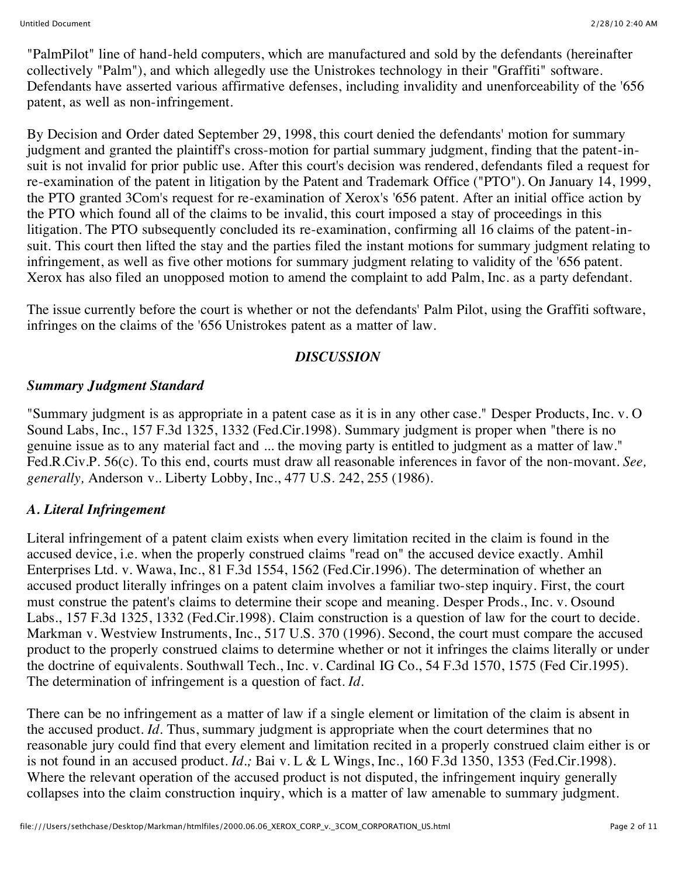"PalmPilot" line of hand-held computers, which are manufactured and sold by the defendants (hereinafter collectively "Palm"), and which allegedly use the Unistrokes technology in their "Graffiti" software. Defendants have asserted various affirmative defenses, including invalidity and unenforceability of the '656 patent, as well as non-infringement.

By Decision and Order dated September 29, 1998, this court denied the defendants' motion for summary judgment and granted the plaintiff's cross-motion for partial summary judgment, finding that the patent-insuit is not invalid for prior public use. After this court's decision was rendered, defendants filed a request for re-examination of the patent in litigation by the Patent and Trademark Office ("PTO"). On January 14, 1999, the PTO granted 3Com's request for re-examination of Xerox's '656 patent. After an initial office action by the PTO which found all of the claims to be invalid, this court imposed a stay of proceedings in this litigation. The PTO subsequently concluded its re-examination, confirming all 16 claims of the patent-insuit. This court then lifted the stay and the parties filed the instant motions for summary judgment relating to infringement, as well as five other motions for summary judgment relating to validity of the '656 patent. Xerox has also filed an unopposed motion to amend the complaint to add Palm, Inc. as a party defendant.

The issue currently before the court is whether or not the defendants' Palm Pilot, using the Graffiti software, infringes on the claims of the '656 Unistrokes patent as a matter of law.

#### *DISCUSSION*

#### *Summary Judgment Standard*

"Summary judgment is as appropriate in a patent case as it is in any other case." Desper Products, Inc. v. O Sound Labs, Inc., 157 F.3d 1325, 1332 (Fed.Cir.1998). Summary judgment is proper when "there is no genuine issue as to any material fact and ... the moving party is entitled to judgment as a matter of law." Fed.R.Civ.P. 56(c). To this end, courts must draw all reasonable inferences in favor of the non-movant. *See, generally,* Anderson v.. Liberty Lobby, Inc., 477 U.S. 242, 255 (1986).

# *A. Literal Infringement*

Literal infringement of a patent claim exists when every limitation recited in the claim is found in the accused device, i.e. when the properly construed claims "read on" the accused device exactly. Amhil Enterprises Ltd. v. Wawa, Inc., 81 F.3d 1554, 1562 (Fed.Cir.1996). The determination of whether an accused product literally infringes on a patent claim involves a familiar two-step inquiry. First, the court must construe the patent's claims to determine their scope and meaning. Desper Prods., Inc. v. Osound Labs., 157 F.3d 1325, 1332 (Fed.Cir.1998). Claim construction is a question of law for the court to decide. Markman v. Westview Instruments, Inc., 517 U.S. 370 (1996). Second, the court must compare the accused product to the properly construed claims to determine whether or not it infringes the claims literally or under the doctrine of equivalents. Southwall Tech., Inc. v. Cardinal IG Co., 54 F.3d 1570, 1575 (Fed Cir.1995). The determination of infringement is a question of fact. *Id.*

There can be no infringement as a matter of law if a single element or limitation of the claim is absent in the accused product. *Id.* Thus, summary judgment is appropriate when the court determines that no reasonable jury could find that every element and limitation recited in a properly construed claim either is or is not found in an accused product. *Id.;* Bai v. L & L Wings, Inc., 160 F.3d 1350, 1353 (Fed.Cir.1998). Where the relevant operation of the accused product is not disputed, the infringement inquiry generally collapses into the claim construction inquiry, which is a matter of law amenable to summary judgment.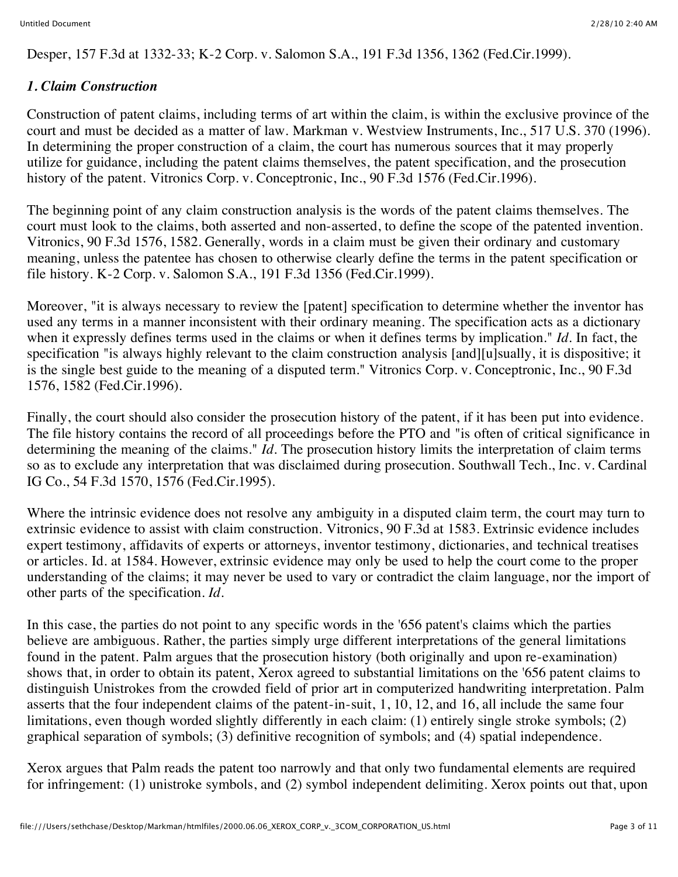Desper, 157 F.3d at 1332-33; K-2 Corp. v. Salomon S.A., 191 F.3d 1356, 1362 (Fed.Cir.1999).

# *1. Claim Construction*

Construction of patent claims, including terms of art within the claim, is within the exclusive province of the court and must be decided as a matter of law. Markman v. Westview Instruments, Inc., 517 U.S. 370 (1996). In determining the proper construction of a claim, the court has numerous sources that it may properly utilize for guidance, including the patent claims themselves, the patent specification, and the prosecution history of the patent. Vitronics Corp. v. Conceptronic, Inc., 90 F.3d 1576 (Fed.Cir.1996).

The beginning point of any claim construction analysis is the words of the patent claims themselves. The court must look to the claims, both asserted and non-asserted, to define the scope of the patented invention. Vitronics, 90 F.3d 1576, 1582. Generally, words in a claim must be given their ordinary and customary meaning, unless the patentee has chosen to otherwise clearly define the terms in the patent specification or file history. K-2 Corp. v. Salomon S.A., 191 F.3d 1356 (Fed.Cir.1999).

Moreover, "it is always necessary to review the [patent] specification to determine whether the inventor has used any terms in a manner inconsistent with their ordinary meaning. The specification acts as a dictionary when it expressly defines terms used in the claims or when it defines terms by implication." *Id.* In fact, the specification "is always highly relevant to the claim construction analysis [and][u]sually, it is dispositive; it is the single best guide to the meaning of a disputed term." Vitronics Corp. v. Conceptronic, Inc., 90 F.3d 1576, 1582 (Fed.Cir.1996).

Finally, the court should also consider the prosecution history of the patent, if it has been put into evidence. The file history contains the record of all proceedings before the PTO and "is often of critical significance in determining the meaning of the claims." *Id.* The prosecution history limits the interpretation of claim terms so as to exclude any interpretation that was disclaimed during prosecution. Southwall Tech., Inc. v. Cardinal IG Co., 54 F.3d 1570, 1576 (Fed.Cir.1995).

Where the intrinsic evidence does not resolve any ambiguity in a disputed claim term, the court may turn to extrinsic evidence to assist with claim construction. Vitronics, 90 F.3d at 1583. Extrinsic evidence includes expert testimony, affidavits of experts or attorneys, inventor testimony, dictionaries, and technical treatises or articles. Id. at 1584. However, extrinsic evidence may only be used to help the court come to the proper understanding of the claims; it may never be used to vary or contradict the claim language, nor the import of other parts of the specification. *Id.*

In this case, the parties do not point to any specific words in the '656 patent's claims which the parties believe are ambiguous. Rather, the parties simply urge different interpretations of the general limitations found in the patent. Palm argues that the prosecution history (both originally and upon re-examination) shows that, in order to obtain its patent, Xerox agreed to substantial limitations on the '656 patent claims to distinguish Unistrokes from the crowded field of prior art in computerized handwriting interpretation. Palm asserts that the four independent claims of the patent-in-suit, 1, 10, 12, and 16, all include the same four limitations, even though worded slightly differently in each claim: (1) entirely single stroke symbols; (2) graphical separation of symbols; (3) definitive recognition of symbols; and (4) spatial independence.

Xerox argues that Palm reads the patent too narrowly and that only two fundamental elements are required for infringement: (1) unistroke symbols, and (2) symbol independent delimiting. Xerox points out that, upon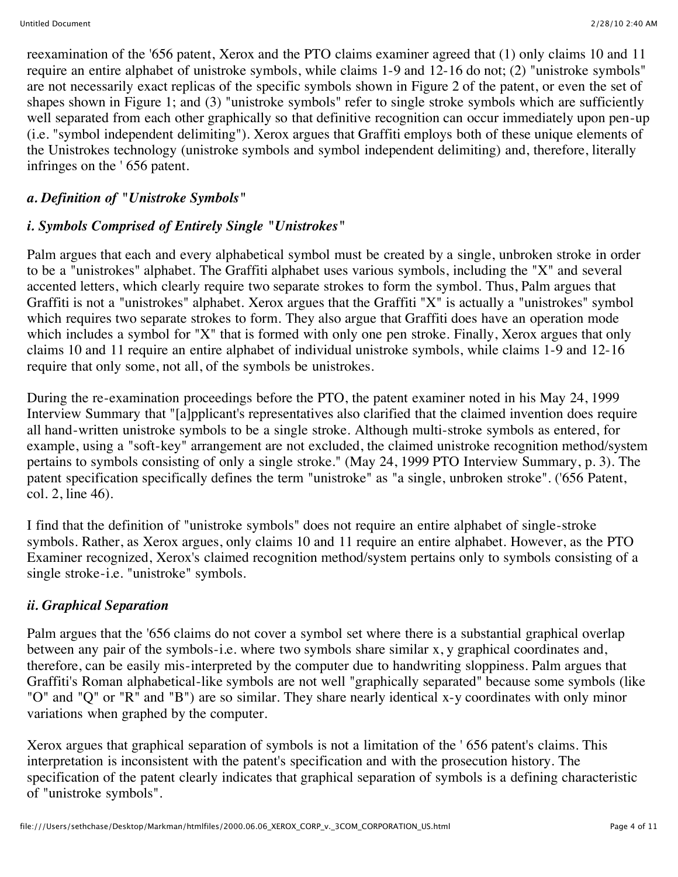reexamination of the '656 patent, Xerox and the PTO claims examiner agreed that (1) only claims 10 and 11 require an entire alphabet of unistroke symbols, while claims 1-9 and 12-16 do not; (2) "unistroke symbols" are not necessarily exact replicas of the specific symbols shown in Figure 2 of the patent, or even the set of shapes shown in Figure 1; and (3) "unistroke symbols" refer to single stroke symbols which are sufficiently well separated from each other graphically so that definitive recognition can occur immediately upon pen-up (i.e. "symbol independent delimiting"). Xerox argues that Graffiti employs both of these unique elements of the Unistrokes technology (unistroke symbols and symbol independent delimiting) and, therefore, literally infringes on the ' 656 patent.

# *a. Definition of "Unistroke Symbols"*

# *i. Symbols Comprised of Entirely Single "Unistrokes"*

Palm argues that each and every alphabetical symbol must be created by a single, unbroken stroke in order to be a "unistrokes" alphabet. The Graffiti alphabet uses various symbols, including the "X" and several accented letters, which clearly require two separate strokes to form the symbol. Thus, Palm argues that Graffiti is not a "unistrokes" alphabet. Xerox argues that the Graffiti "X" is actually a "unistrokes" symbol which requires two separate strokes to form. They also argue that Graffiti does have an operation mode which includes a symbol for "X" that is formed with only one pen stroke. Finally, Xerox argues that only claims 10 and 11 require an entire alphabet of individual unistroke symbols, while claims 1-9 and 12-16 require that only some, not all, of the symbols be unistrokes.

During the re-examination proceedings before the PTO, the patent examiner noted in his May 24, 1999 Interview Summary that "[a]pplicant's representatives also clarified that the claimed invention does require all hand-written unistroke symbols to be a single stroke. Although multi-stroke symbols as entered, for example, using a "soft-key" arrangement are not excluded, the claimed unistroke recognition method/system pertains to symbols consisting of only a single stroke." (May 24, 1999 PTO Interview Summary, p. 3). The patent specification specifically defines the term "unistroke" as "a single, unbroken stroke". ('656 Patent, col. 2, line 46).

I find that the definition of "unistroke symbols" does not require an entire alphabet of single-stroke symbols. Rather, as Xerox argues, only claims 10 and 11 require an entire alphabet. However, as the PTO Examiner recognized, Xerox's claimed recognition method/system pertains only to symbols consisting of a single stroke-i.e. "unistroke" symbols.

# *ii. Graphical Separation*

Palm argues that the '656 claims do not cover a symbol set where there is a substantial graphical overlap between any pair of the symbols-i.e. where two symbols share similar x, y graphical coordinates and, therefore, can be easily mis-interpreted by the computer due to handwriting sloppiness. Palm argues that Graffiti's Roman alphabetical-like symbols are not well "graphically separated" because some symbols (like "O" and "Q" or "R" and "B") are so similar. They share nearly identical x-y coordinates with only minor variations when graphed by the computer.

Xerox argues that graphical separation of symbols is not a limitation of the ' 656 patent's claims. This interpretation is inconsistent with the patent's specification and with the prosecution history. The specification of the patent clearly indicates that graphical separation of symbols is a defining characteristic of "unistroke symbols".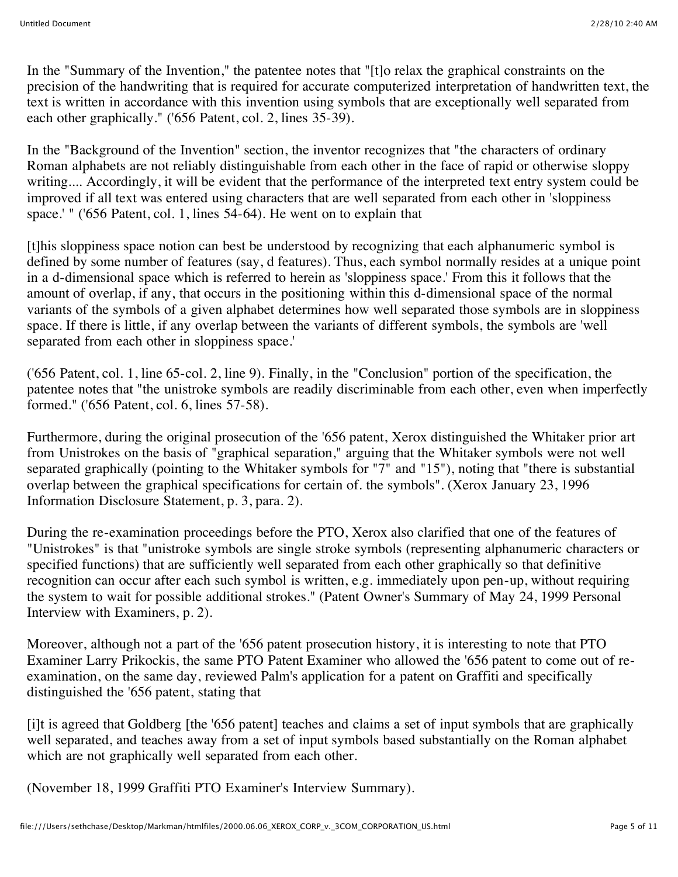In the "Summary of the Invention," the patentee notes that "[t]o relax the graphical constraints on the precision of the handwriting that is required for accurate computerized interpretation of handwritten text, the text is written in accordance with this invention using symbols that are exceptionally well separated from each other graphically." ('656 Patent, col. 2, lines 35-39).

In the "Background of the Invention" section, the inventor recognizes that "the characters of ordinary Roman alphabets are not reliably distinguishable from each other in the face of rapid or otherwise sloppy writing.... Accordingly, it will be evident that the performance of the interpreted text entry system could be improved if all text was entered using characters that are well separated from each other in 'sloppiness space.' " ('656 Patent, col. 1, lines 54-64). He went on to explain that

[t]his sloppiness space notion can best be understood by recognizing that each alphanumeric symbol is defined by some number of features (say, d features). Thus, each symbol normally resides at a unique point in a d-dimensional space which is referred to herein as 'sloppiness space.' From this it follows that the amount of overlap, if any, that occurs in the positioning within this d-dimensional space of the normal variants of the symbols of a given alphabet determines how well separated those symbols are in sloppiness space. If there is little, if any overlap between the variants of different symbols, the symbols are 'well separated from each other in sloppiness space.'

('656 Patent, col. 1, line 65-col. 2, line 9). Finally, in the "Conclusion" portion of the specification, the patentee notes that "the unistroke symbols are readily discriminable from each other, even when imperfectly formed." ('656 Patent, col. 6, lines 57-58).

Furthermore, during the original prosecution of the '656 patent, Xerox distinguished the Whitaker prior art from Unistrokes on the basis of "graphical separation," arguing that the Whitaker symbols were not well separated graphically (pointing to the Whitaker symbols for "7" and "15"), noting that "there is substantial overlap between the graphical specifications for certain of. the symbols". (Xerox January 23, 1996 Information Disclosure Statement, p. 3, para. 2).

During the re-examination proceedings before the PTO, Xerox also clarified that one of the features of "Unistrokes" is that "unistroke symbols are single stroke symbols (representing alphanumeric characters or specified functions) that are sufficiently well separated from each other graphically so that definitive recognition can occur after each such symbol is written, e.g. immediately upon pen-up, without requiring the system to wait for possible additional strokes." (Patent Owner's Summary of May 24, 1999 Personal Interview with Examiners, p. 2).

Moreover, although not a part of the '656 patent prosecution history, it is interesting to note that PTO Examiner Larry Prikockis, the same PTO Patent Examiner who allowed the '656 patent to come out of reexamination, on the same day, reviewed Palm's application for a patent on Graffiti and specifically distinguished the '656 patent, stating that

[i]t is agreed that Goldberg [the '656 patent] teaches and claims a set of input symbols that are graphically well separated, and teaches away from a set of input symbols based substantially on the Roman alphabet which are not graphically well separated from each other.

(November 18, 1999 Graffiti PTO Examiner's Interview Summary).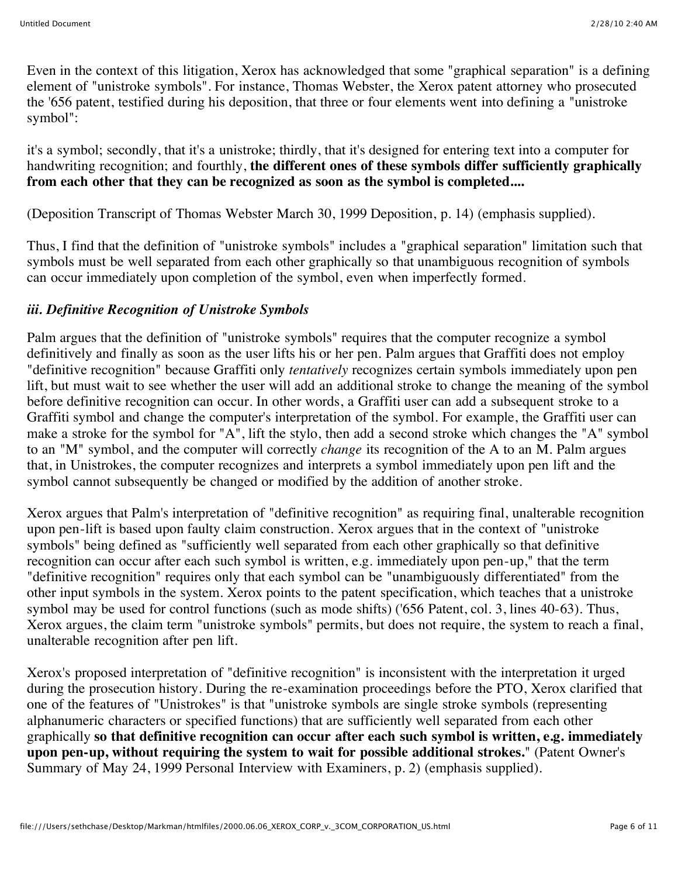Even in the context of this litigation, Xerox has acknowledged that some "graphical separation" is a defining element of "unistroke symbols". For instance, Thomas Webster, the Xerox patent attorney who prosecuted the '656 patent, testified during his deposition, that three or four elements went into defining a "unistroke symbol":

it's a symbol; secondly, that it's a unistroke; thirdly, that it's designed for entering text into a computer for handwriting recognition; and fourthly, **the different ones of these symbols differ sufficiently graphically from each other that they can be recognized as soon as the symbol is completed....**

(Deposition Transcript of Thomas Webster March 30, 1999 Deposition, p. 14) (emphasis supplied).

Thus, I find that the definition of "unistroke symbols" includes a "graphical separation" limitation such that symbols must be well separated from each other graphically so that unambiguous recognition of symbols can occur immediately upon completion of the symbol, even when imperfectly formed.

# *iii. Definitive Recognition of Unistroke Symbols*

Palm argues that the definition of "unistroke symbols" requires that the computer recognize a symbol definitively and finally as soon as the user lifts his or her pen. Palm argues that Graffiti does not employ "definitive recognition" because Graffiti only *tentatively* recognizes certain symbols immediately upon pen lift, but must wait to see whether the user will add an additional stroke to change the meaning of the symbol before definitive recognition can occur. In other words, a Graffiti user can add a subsequent stroke to a Graffiti symbol and change the computer's interpretation of the symbol. For example, the Graffiti user can make a stroke for the symbol for "A", lift the stylo, then add a second stroke which changes the "A" symbol to an "M" symbol, and the computer will correctly *change* its recognition of the A to an M. Palm argues that, in Unistrokes, the computer recognizes and interprets a symbol immediately upon pen lift and the symbol cannot subsequently be changed or modified by the addition of another stroke.

Xerox argues that Palm's interpretation of "definitive recognition" as requiring final, unalterable recognition upon pen-lift is based upon faulty claim construction. Xerox argues that in the context of "unistroke symbols" being defined as "sufficiently well separated from each other graphically so that definitive recognition can occur after each such symbol is written, e.g. immediately upon pen-up," that the term "definitive recognition" requires only that each symbol can be "unambiguously differentiated" from the other input symbols in the system. Xerox points to the patent specification, which teaches that a unistroke symbol may be used for control functions (such as mode shifts) ('656 Patent, col. 3, lines 40-63). Thus, Xerox argues, the claim term "unistroke symbols" permits, but does not require, the system to reach a final, unalterable recognition after pen lift.

Xerox's proposed interpretation of "definitive recognition" is inconsistent with the interpretation it urged during the prosecution history. During the re-examination proceedings before the PTO, Xerox clarified that one of the features of "Unistrokes" is that "unistroke symbols are single stroke symbols (representing alphanumeric characters or specified functions) that are sufficiently well separated from each other graphically **so that definitive recognition can occur after each such symbol is written, e.g. immediately upon pen-up, without requiring the system to wait for possible additional strokes.**" (Patent Owner's Summary of May 24, 1999 Personal Interview with Examiners, p. 2) (emphasis supplied).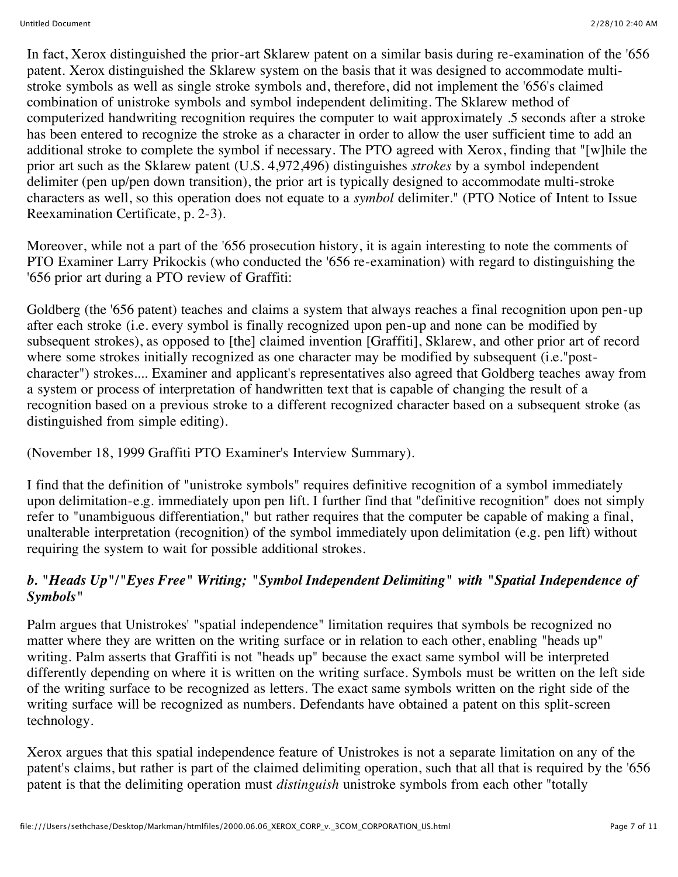In fact, Xerox distinguished the prior-art Sklarew patent on a similar basis during re-examination of the '656 patent. Xerox distinguished the Sklarew system on the basis that it was designed to accommodate multistroke symbols as well as single stroke symbols and, therefore, did not implement the '656's claimed combination of unistroke symbols and symbol independent delimiting. The Sklarew method of computerized handwriting recognition requires the computer to wait approximately .5 seconds after a stroke has been entered to recognize the stroke as a character in order to allow the user sufficient time to add an additional stroke to complete the symbol if necessary. The PTO agreed with Xerox, finding that "[w]hile the prior art such as the Sklarew patent (U.S. 4,972,496) distinguishes *strokes* by a symbol independent delimiter (pen up/pen down transition), the prior art is typically designed to accommodate multi-stroke characters as well, so this operation does not equate to a *symbol* delimiter." (PTO Notice of Intent to Issue Reexamination Certificate, p. 2-3).

Moreover, while not a part of the '656 prosecution history, it is again interesting to note the comments of PTO Examiner Larry Prikockis (who conducted the '656 re-examination) with regard to distinguishing the '656 prior art during a PTO review of Graffiti:

Goldberg (the '656 patent) teaches and claims a system that always reaches a final recognition upon pen-up after each stroke (i.e. every symbol is finally recognized upon pen-up and none can be modified by subsequent strokes), as opposed to [the] claimed invention [Graffiti], Sklarew, and other prior art of record where some strokes initially recognized as one character may be modified by subsequent (i.e."postcharacter") strokes.... Examiner and applicant's representatives also agreed that Goldberg teaches away from a system or process of interpretation of handwritten text that is capable of changing the result of a recognition based on a previous stroke to a different recognized character based on a subsequent stroke (as distinguished from simple editing).

(November 18, 1999 Graffiti PTO Examiner's Interview Summary).

I find that the definition of "unistroke symbols" requires definitive recognition of a symbol immediately upon delimitation-e.g. immediately upon pen lift. I further find that "definitive recognition" does not simply refer to "unambiguous differentiation," but rather requires that the computer be capable of making a final, unalterable interpretation (recognition) of the symbol immediately upon delimitation (e.g. pen lift) without requiring the system to wait for possible additional strokes.

# *b. "Heads Up"/"Eyes Free" Writing; "Symbol Independent Delimiting" with "Spatial Independence of Symbols"*

Palm argues that Unistrokes' "spatial independence" limitation requires that symbols be recognized no matter where they are written on the writing surface or in relation to each other, enabling "heads up" writing. Palm asserts that Graffiti is not "heads up" because the exact same symbol will be interpreted differently depending on where it is written on the writing surface. Symbols must be written on the left side of the writing surface to be recognized as letters. The exact same symbols written on the right side of the writing surface will be recognized as numbers. Defendants have obtained a patent on this split-screen technology.

Xerox argues that this spatial independence feature of Unistrokes is not a separate limitation on any of the patent's claims, but rather is part of the claimed delimiting operation, such that all that is required by the '656 patent is that the delimiting operation must *distinguish* unistroke symbols from each other "totally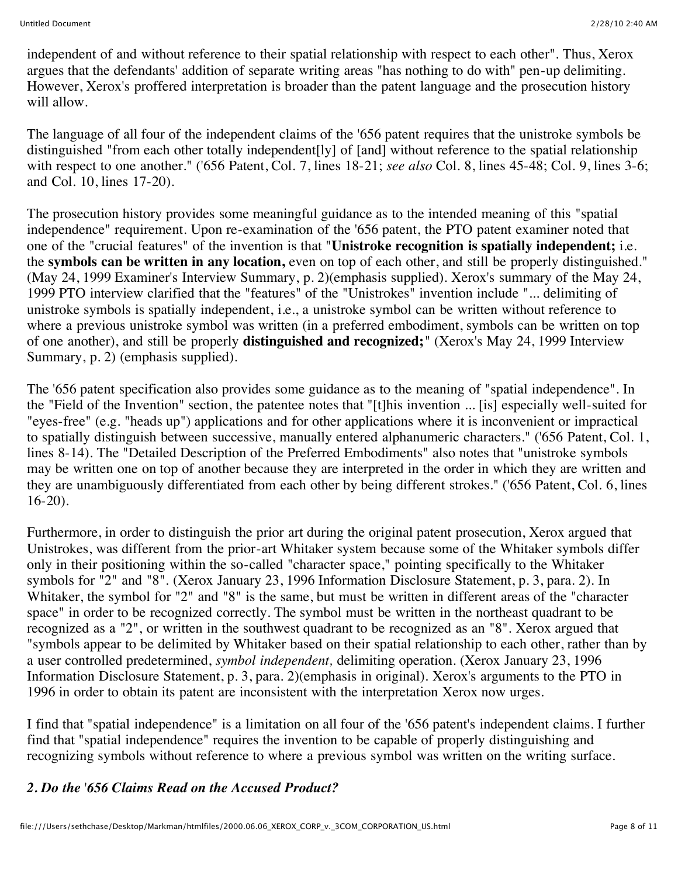independent of and without reference to their spatial relationship with respect to each other". Thus, Xerox argues that the defendants' addition of separate writing areas "has nothing to do with" pen-up delimiting. However, Xerox's proffered interpretation is broader than the patent language and the prosecution history will allow.

The language of all four of the independent claims of the '656 patent requires that the unistroke symbols be distinguished "from each other totally independent[ly] of [and] without reference to the spatial relationship with respect to one another." ('656 Patent, Col. 7, lines 18-21; *see also* Col. 8, lines 45-48; Col. 9, lines 3-6; and Col. 10, lines 17-20).

The prosecution history provides some meaningful guidance as to the intended meaning of this "spatial independence" requirement. Upon re-examination of the '656 patent, the PTO patent examiner noted that one of the "crucial features" of the invention is that "**Unistroke recognition is spatially independent;** i.e. the **symbols can be written in any location,** even on top of each other, and still be properly distinguished." (May 24, 1999 Examiner's Interview Summary, p. 2)(emphasis supplied). Xerox's summary of the May 24, 1999 PTO interview clarified that the "features" of the "Unistrokes" invention include "... delimiting of unistroke symbols is spatially independent, i.e., a unistroke symbol can be written without reference to where a previous unistroke symbol was written (in a preferred embodiment, symbols can be written on top of one another), and still be properly **distinguished and recognized;**" (Xerox's May 24, 1999 Interview Summary, p. 2) (emphasis supplied).

The '656 patent specification also provides some guidance as to the meaning of "spatial independence". In the "Field of the Invention" section, the patentee notes that "[t]his invention ... [is] especially well-suited for "eyes-free" (e.g. "heads up") applications and for other applications where it is inconvenient or impractical to spatially distinguish between successive, manually entered alphanumeric characters." ('656 Patent, Col. 1, lines 8-14). The "Detailed Description of the Preferred Embodiments" also notes that "unistroke symbols may be written one on top of another because they are interpreted in the order in which they are written and they are unambiguously differentiated from each other by being different strokes." ('656 Patent, Col. 6, lines 16-20).

Furthermore, in order to distinguish the prior art during the original patent prosecution, Xerox argued that Unistrokes, was different from the prior-art Whitaker system because some of the Whitaker symbols differ only in their positioning within the so-called "character space," pointing specifically to the Whitaker symbols for "2" and "8". (Xerox January 23, 1996 Information Disclosure Statement, p. 3, para. 2). In Whitaker, the symbol for "2" and "8" is the same, but must be written in different areas of the "character space" in order to be recognized correctly. The symbol must be written in the northeast quadrant to be recognized as a "2", or written in the southwest quadrant to be recognized as an "8". Xerox argued that "symbols appear to be delimited by Whitaker based on their spatial relationship to each other, rather than by a user controlled predetermined, *symbol independent,* delimiting operation. (Xerox January 23, 1996 Information Disclosure Statement, p. 3, para. 2)(emphasis in original). Xerox's arguments to the PTO in 1996 in order to obtain its patent are inconsistent with the interpretation Xerox now urges.

I find that "spatial independence" is a limitation on all four of the '656 patent's independent claims. I further find that "spatial independence" requires the invention to be capable of properly distinguishing and recognizing symbols without reference to where a previous symbol was written on the writing surface.

# *2. Do the* '*656 Claims Read on the Accused Product?*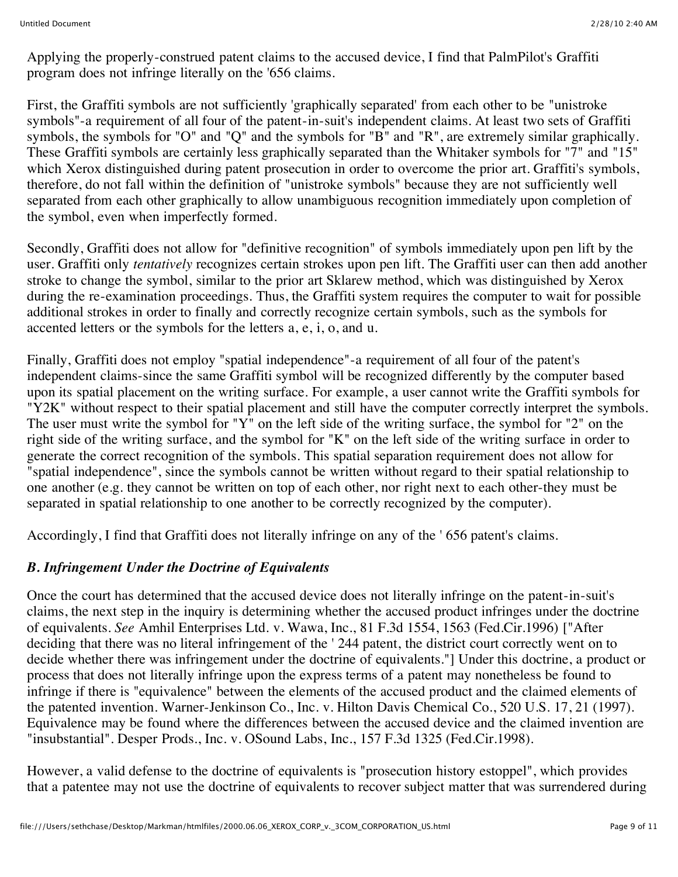Applying the properly-construed patent claims to the accused device, I find that PalmPilot's Graffiti program does not infringe literally on the '656 claims.

First, the Graffiti symbols are not sufficiently 'graphically separated' from each other to be "unistroke symbols"-a requirement of all four of the patent-in-suit's independent claims. At least two sets of Graffiti symbols, the symbols for "O" and "Q" and the symbols for "B" and "R", are extremely similar graphically. These Graffiti symbols are certainly less graphically separated than the Whitaker symbols for "7" and "15" which Xerox distinguished during patent prosecution in order to overcome the prior art. Graffiti's symbols, therefore, do not fall within the definition of "unistroke symbols" because they are not sufficiently well separated from each other graphically to allow unambiguous recognition immediately upon completion of the symbol, even when imperfectly formed.

Secondly, Graffiti does not allow for "definitive recognition" of symbols immediately upon pen lift by the user. Graffiti only *tentatively* recognizes certain strokes upon pen lift. The Graffiti user can then add another stroke to change the symbol, similar to the prior art Sklarew method, which was distinguished by Xerox during the re-examination proceedings. Thus, the Graffiti system requires the computer to wait for possible additional strokes in order to finally and correctly recognize certain symbols, such as the symbols for accented letters or the symbols for the letters a, e, i, o, and u.

Finally, Graffiti does not employ "spatial independence"-a requirement of all four of the patent's independent claims-since the same Graffiti symbol will be recognized differently by the computer based upon its spatial placement on the writing surface. For example, a user cannot write the Graffiti symbols for "Y2K" without respect to their spatial placement and still have the computer correctly interpret the symbols. The user must write the symbol for "Y" on the left side of the writing surface, the symbol for "2" on the right side of the writing surface, and the symbol for "K" on the left side of the writing surface in order to generate the correct recognition of the symbols. This spatial separation requirement does not allow for "spatial independence", since the symbols cannot be written without regard to their spatial relationship to one another (e.g. they cannot be written on top of each other, nor right next to each other-they must be separated in spatial relationship to one another to be correctly recognized by the computer).

Accordingly, I find that Graffiti does not literally infringe on any of the ' 656 patent's claims.

# *B. Infringement Under the Doctrine of Equivalents*

Once the court has determined that the accused device does not literally infringe on the patent-in-suit's claims, the next step in the inquiry is determining whether the accused product infringes under the doctrine of equivalents. *See* Amhil Enterprises Ltd. v. Wawa, Inc., 81 F.3d 1554, 1563 (Fed.Cir.1996) ["After deciding that there was no literal infringement of the ' 244 patent, the district court correctly went on to decide whether there was infringement under the doctrine of equivalents."] Under this doctrine, a product or process that does not literally infringe upon the express terms of a patent may nonetheless be found to infringe if there is "equivalence" between the elements of the accused product and the claimed elements of the patented invention. Warner-Jenkinson Co., Inc. v. Hilton Davis Chemical Co., 520 U.S. 17, 21 (1997). Equivalence may be found where the differences between the accused device and the claimed invention are "insubstantial". Desper Prods., Inc. v. OSound Labs, Inc., 157 F.3d 1325 (Fed.Cir.1998).

However, a valid defense to the doctrine of equivalents is "prosecution history estoppel", which provides that a patentee may not use the doctrine of equivalents to recover subject matter that was surrendered during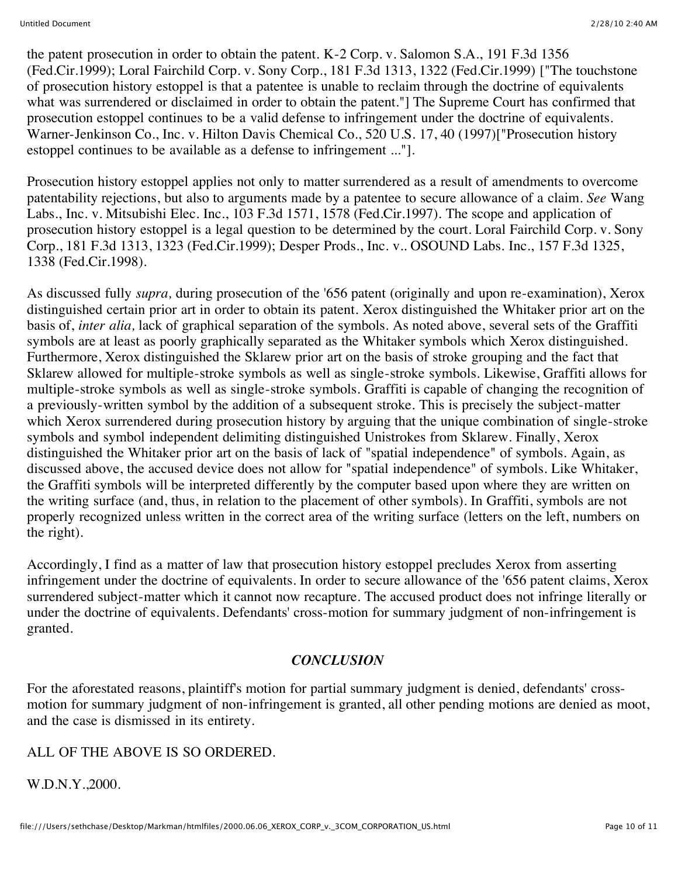the patent prosecution in order to obtain the patent. K-2 Corp. v. Salomon S.A., 191 F.3d 1356 (Fed.Cir.1999); Loral Fairchild Corp. v. Sony Corp., 181 F.3d 1313, 1322 (Fed.Cir.1999) ["The touchstone of prosecution history estoppel is that a patentee is unable to reclaim through the doctrine of equivalents what was surrendered or disclaimed in order to obtain the patent."] The Supreme Court has confirmed that prosecution estoppel continues to be a valid defense to infringement under the doctrine of equivalents. Warner-Jenkinson Co., Inc. v. Hilton Davis Chemical Co., 520 U.S. 17, 40 (1997)["Prosecution history estoppel continues to be available as a defense to infringement ..."].

Prosecution history estoppel applies not only to matter surrendered as a result of amendments to overcome patentability rejections, but also to arguments made by a patentee to secure allowance of a claim. *See* Wang Labs., Inc. v. Mitsubishi Elec. Inc., 103 F.3d 1571, 1578 (Fed.Cir.1997). The scope and application of prosecution history estoppel is a legal question to be determined by the court. Loral Fairchild Corp. v. Sony Corp., 181 F.3d 1313, 1323 (Fed.Cir.1999); Desper Prods., Inc. v.. OSOUND Labs. Inc., 157 F.3d 1325, 1338 (Fed.Cir.1998).

As discussed fully *supra,* during prosecution of the '656 patent (originally and upon re-examination), Xerox distinguished certain prior art in order to obtain its patent. Xerox distinguished the Whitaker prior art on the basis of, *inter alia,* lack of graphical separation of the symbols. As noted above, several sets of the Graffiti symbols are at least as poorly graphically separated as the Whitaker symbols which Xerox distinguished. Furthermore, Xerox distinguished the Sklarew prior art on the basis of stroke grouping and the fact that Sklarew allowed for multiple-stroke symbols as well as single-stroke symbols. Likewise, Graffiti allows for multiple-stroke symbols as well as single-stroke symbols. Graffiti is capable of changing the recognition of a previously-written symbol by the addition of a subsequent stroke. This is precisely the subject-matter which Xerox surrendered during prosecution history by arguing that the unique combination of single-stroke symbols and symbol independent delimiting distinguished Unistrokes from Sklarew. Finally, Xerox distinguished the Whitaker prior art on the basis of lack of "spatial independence" of symbols. Again, as discussed above, the accused device does not allow for "spatial independence" of symbols. Like Whitaker, the Graffiti symbols will be interpreted differently by the computer based upon where they are written on the writing surface (and, thus, in relation to the placement of other symbols). In Graffiti, symbols are not properly recognized unless written in the correct area of the writing surface (letters on the left, numbers on the right).

Accordingly, I find as a matter of law that prosecution history estoppel precludes Xerox from asserting infringement under the doctrine of equivalents. In order to secure allowance of the '656 patent claims, Xerox surrendered subject-matter which it cannot now recapture. The accused product does not infringe literally or under the doctrine of equivalents. Defendants' cross-motion for summary judgment of non-infringement is granted.

# *CONCLUSION*

For the aforestated reasons, plaintiff's motion for partial summary judgment is denied, defendants' crossmotion for summary judgment of non-infringement is granted, all other pending motions are denied as moot, and the case is dismissed in its entirety.

# ALL OF THE ABOVE IS SO ORDERED.

W.D.N.Y.,2000.